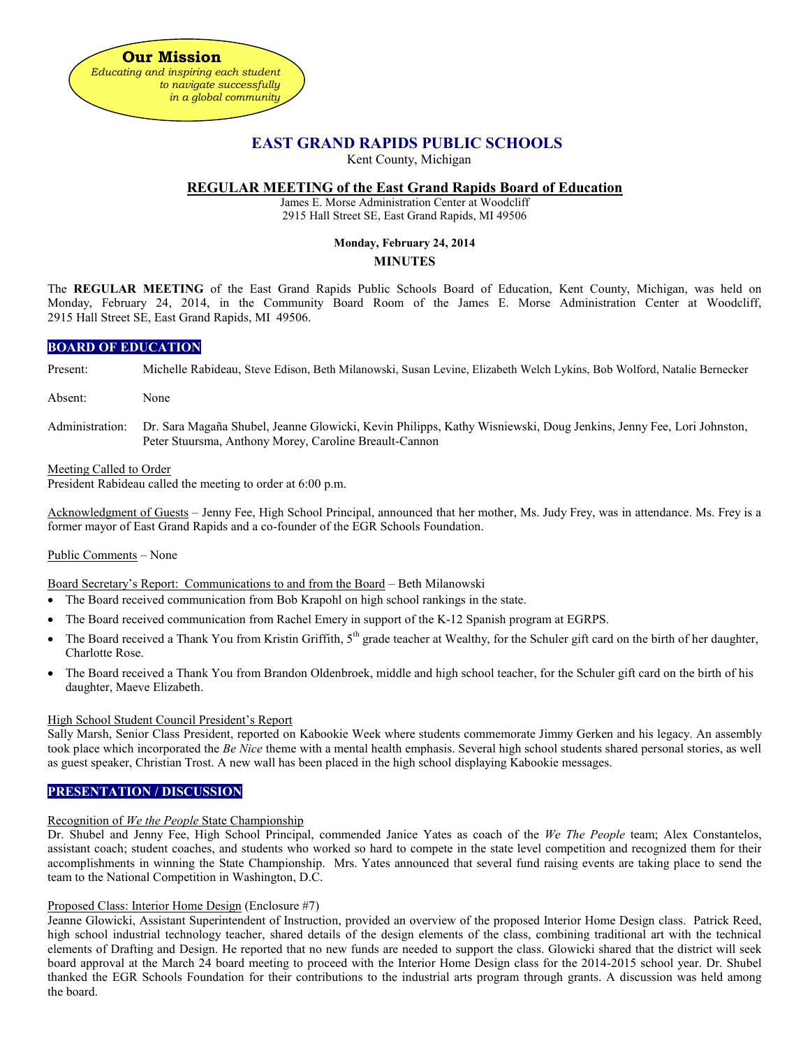

# **EAST GRAND RAPIDS PUBLIC SCHOOLS**

Kent County, Michigan

## **REGULAR MEETING of the East Grand Rapids Board of Education**

James E. Morse Administration Center at Woodcliff 2915 Hall Street SE, East Grand Rapids, MI 49506

## **Monday, February 24, 2014**

### **MINUTES**

The **REGULAR MEETING** of the East Grand Rapids Public Schools Board of Education, Kent County, Michigan, was held on Monday, February 24, 2014, in the Community Board Room of the James E. Morse Administration Center at Woodcliff, 2915 Hall Street SE, East Grand Rapids, MI 49506.

## **BOARD OF EDUCATION**

Present: Michelle Rabideau, Steve Edison, Beth Milanowski, Susan Levine, Elizabeth Welch Lykins, Bob Wolford, Natalie Bernecker

- Absent: None
- Administration: Dr. Sara Magaña Shubel, Jeanne Glowicki, Kevin Philipps, Kathy Wisniewski, Doug Jenkins, Jenny Fee, Lori Johnston, Peter Stuursma, Anthony Morey, Caroline Breault-Cannon

### Meeting Called to Order

President Rabideau called the meeting to order at 6:00 p.m.

Acknowledgment of Guests – Jenny Fee, High School Principal, announced that her mother, Ms. Judy Frey, was in attendance. Ms. Frey is a former mayor of East Grand Rapids and a co-founder of the EGR Schools Foundation.

### Public Comments – None

Board Secretary's Report: Communications to and from the Board – Beth Milanowski

- The Board received communication from Bob Krapohl on high school rankings in the state.
- The Board received communication from Rachel Emery in support of the K-12 Spanish program at EGRPS.
- The Board received a Thank You from Kristin Griffith, 5<sup>th</sup> grade teacher at Wealthy, for the Schuler gift card on the birth of her daughter, Charlotte Rose.
- The Board received a Thank You from Brandon Oldenbroek, middle and high school teacher, for the Schuler gift card on the birth of his daughter, Maeve Elizabeth.

### High School Student Council President's Report

Sally Marsh, Senior Class President, reported on Kabookie Week where students commemorate Jimmy Gerken and his legacy. An assembly took place which incorporated the *Be Nice* theme with a mental health emphasis. Several high school students shared personal stories, as well as guest speaker, Christian Trost. A new wall has been placed in the high school displaying Kabookie messages.

## **PRESENTATION / DISCUSSION**

### Recognition of *We the People* State Championship

Dr. Shubel and Jenny Fee, High School Principal, commended Janice Yates as coach of the *We The People* team; Alex Constantelos, assistant coach; student coaches, and students who worked so hard to compete in the state level competition and recognized them for their accomplishments in winning the State Championship. Mrs. Yates announced that several fund raising events are taking place to send the team to the National Competition in Washington, D.C.

### Proposed Class: Interior Home Design (Enclosure #7)

Jeanne Glowicki, Assistant Superintendent of Instruction, provided an overview of the proposed Interior Home Design class. Patrick Reed, high school industrial technology teacher, shared details of the design elements of the class, combining traditional art with the technical elements of Drafting and Design. He reported that no new funds are needed to support the class. Glowicki shared that the district will seek board approval at the March 24 board meeting to proceed with the Interior Home Design class for the 2014-2015 school year. Dr. Shubel thanked the EGR Schools Foundation for their contributions to the industrial arts program through grants. A discussion was held among the board.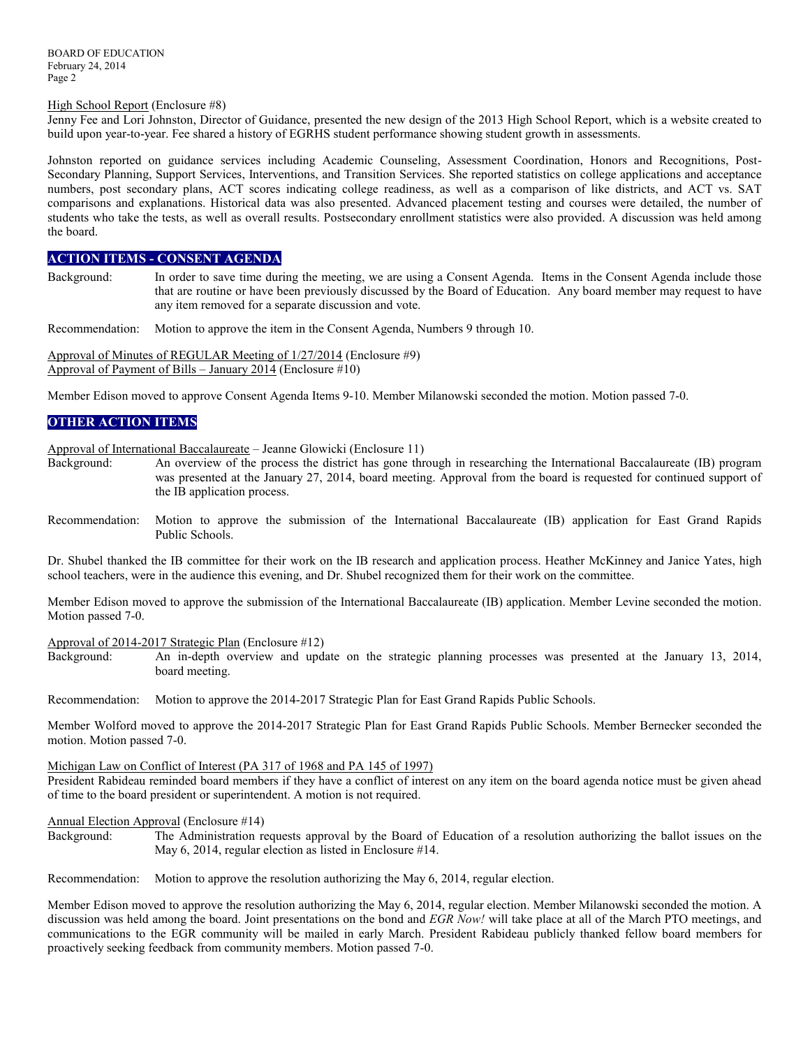#### High School Report (Enclosure #8)

Jenny Fee and Lori Johnston, Director of Guidance, presented the new design of the 2013 High School Report, which is a website created to build upon year-to-year. Fee shared a history of EGRHS student performance showing student growth in assessments.

Johnston reported on guidance services including Academic Counseling, Assessment Coordination, Honors and Recognitions, Post-Secondary Planning, Support Services, Interventions, and Transition Services. She reported statistics on college applications and acceptance numbers, post secondary plans, ACT scores indicating college readiness, as well as a comparison of like districts, and ACT vs. SAT comparisons and explanations. Historical data was also presented. Advanced placement testing and courses were detailed, the number of students who take the tests, as well as overall results. Postsecondary enrollment statistics were also provided. A discussion was held among the board.

## **ACTION ITEMS - CONSENT AGENDA**

Background: In order to save time during the meeting, we are using a Consent Agenda. Items in the Consent Agenda include those that are routine or have been previously discussed by the Board of Education. Any board member may request to have any item removed for a separate discussion and vote.

Recommendation: Motion to approve the item in the Consent Agenda, Numbers 9 through 10.

Approval of Minutes of REGULAR Meeting of 1/27/2014 (Enclosure #9) Approval of Payment of Bills – January 2014 (Enclosure  $\#10$ )

Member Edison moved to approve Consent Agenda Items 9-10. Member Milanowski seconded the motion. Motion passed 7-0.

## **OTHER ACTION ITEMS**

Approval of International Baccalaureate – Jeanne Glowicki (Enclosure 11)

- Background: An overview of the process the district has gone through in researching the International Baccalaureate (IB) program was presented at the January 27, 2014, board meeting. Approval from the board is requested for continued support of the IB application process.
- Recommendation: Motion to approve the submission of the International Baccalaureate (IB) application for East Grand Rapids Public Schools.

Dr. Shubel thanked the IB committee for their work on the IB research and application process. Heather McKinney and Janice Yates, high school teachers, were in the audience this evening, and Dr. Shubel recognized them for their work on the committee.

Member Edison moved to approve the submission of the International Baccalaureate (IB) application. Member Levine seconded the motion. Motion passed 7-0.

#### Approval of 2014-2017 Strategic Plan (Enclosure #12)

Background: An in-depth overview and update on the strategic planning processes was presented at the January 13, 2014, board meeting.

Recommendation: Motion to approve the 2014-2017 Strategic Plan for East Grand Rapids Public Schools.

Member Wolford moved to approve the 2014-2017 Strategic Plan for East Grand Rapids Public Schools. Member Bernecker seconded the motion. Motion passed 7-0.

#### Michigan Law on Conflict of Interest (PA 317 of 1968 and PA 145 of 1997)

President Rabideau reminded board members if they have a conflict of interest on any item on the board agenda notice must be given ahead of time to the board president or superintendent. A motion is not required.

## Annual Election Approval (Enclosure #14)

Background: The Administration requests approval by the Board of Education of a resolution authorizing the ballot issues on the May 6, 2014, regular election as listed in Enclosure #14.

Recommendation: Motion to approve the resolution authorizing the May 6, 2014, regular election.

Member Edison moved to approve the resolution authorizing the May 6, 2014, regular election. Member Milanowski seconded the motion. A discussion was held among the board. Joint presentations on the bond and *EGR Now!* will take place at all of the March PTO meetings, and communications to the EGR community will be mailed in early March. President Rabideau publicly thanked fellow board members for proactively seeking feedback from community members. Motion passed 7-0.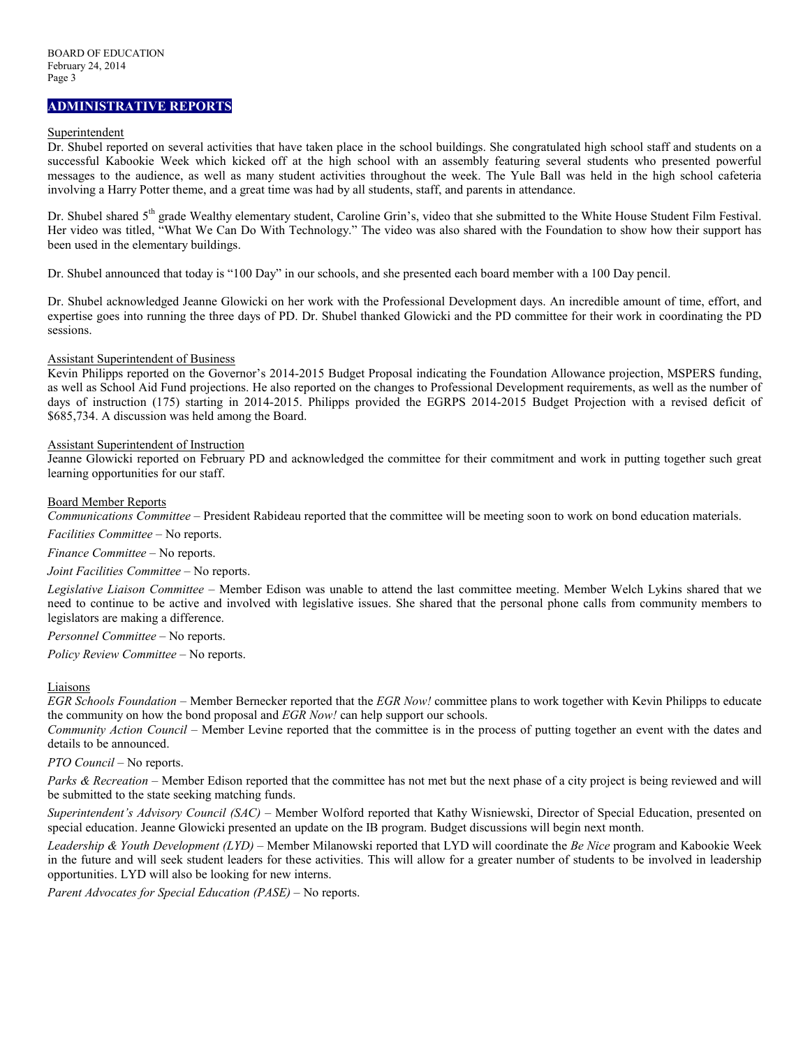## **ADMINISTRATIVE REPORTS**

### Superintendent

Dr. Shubel reported on several activities that have taken place in the school buildings. She congratulated high school staff and students on a successful Kabookie Week which kicked off at the high school with an assembly featuring several students who presented powerful messages to the audience, as well as many student activities throughout the week. The Yule Ball was held in the high school cafeteria involving a Harry Potter theme, and a great time was had by all students, staff, and parents in attendance.

Dr. Shubel shared 5<sup>th</sup> grade Wealthy elementary student, Caroline Grin's, video that she submitted to the White House Student Film Festival. Her video was titled, "What We Can Do With Technology." The video was also shared with the Foundation to show how their support has been used in the elementary buildings.

Dr. Shubel announced that today is "100 Day" in our schools, and she presented each board member with a 100 Day pencil.

Dr. Shubel acknowledged Jeanne Glowicki on her work with the Professional Development days. An incredible amount of time, effort, and expertise goes into running the three days of PD. Dr. Shubel thanked Glowicki and the PD committee for their work in coordinating the PD sessions.

#### Assistant Superintendent of Business

Kevin Philipps reported on the Governor's 2014-2015 Budget Proposal indicating the Foundation Allowance projection, MSPERS funding, as well as School Aid Fund projections. He also reported on the changes to Professional Development requirements, as well as the number of days of instruction (175) starting in 2014-2015. Philipps provided the EGRPS 2014-2015 Budget Projection with a revised deficit of \$685,734. A discussion was held among the Board.

### Assistant Superintendent of Instruction

Jeanne Glowicki reported on February PD and acknowledged the committee for their commitment and work in putting together such great learning opportunities for our staff.

### Board Member Reports

*Communications Committee –* President Rabideau reported that the committee will be meeting soon to work on bond education materials.

*Facilities Committee –* No reports.

*Finance Committee –* No reports.

*Joint Facilities Committee –* No reports.

*Legislative Liaison Committee* – Member Edison was unable to attend the last committee meeting. Member Welch Lykins shared that we need to continue to be active and involved with legislative issues. She shared that the personal phone calls from community members to legislators are making a difference.

*Personnel Committee –* No reports.

*Policy Review Committee –* No reports.

### Liaisons

*EGR Schools Foundation –* Member Bernecker reported that the *EGR Now!* committee plans to work together with Kevin Philipps to educate the community on how the bond proposal and *EGR Now!* can help support our schools.

*Community Action Council –* Member Levine reported that the committee is in the process of putting together an event with the dates and details to be announced.

*PTO Council –* No reports.

*Parks & Recreation* – Member Edison reported that the committee has not met but the next phase of a city project is being reviewed and will be submitted to the state seeking matching funds.

*Superintendent's Advisory Council (SAC) –* Member Wolford reported that Kathy Wisniewski, Director of Special Education, presented on special education. Jeanne Glowicki presented an update on the IB program. Budget discussions will begin next month.

*Leadership & Youth Development (LYD) –* Member Milanowski reported that LYD will coordinate the *Be Nice* program and Kabookie Week in the future and will seek student leaders for these activities. This will allow for a greater number of students to be involved in leadership opportunities. LYD will also be looking for new interns.

*Parent Advocates for Special Education (PASE) –* No reports.